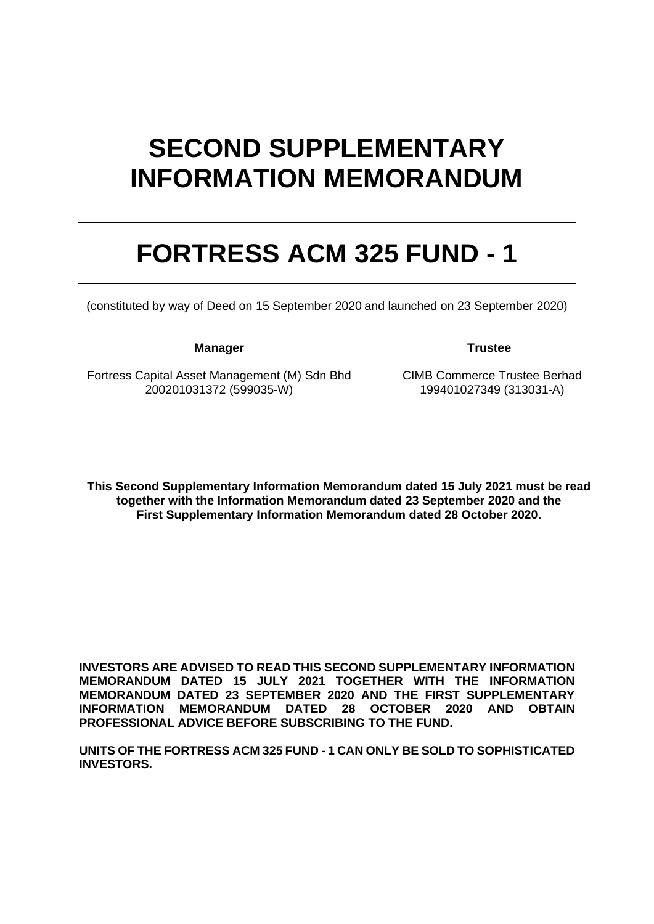# **SECOND SUPPLEMENTARY INFORMATION MEMORANDUM**

# **FORTRESS ACM 325 FUND - 1**

(constituted by way of Deed on 15 September 2020 and launched on 23 September 2020)

**Manager Trustee**

Fortress Capital Asset Management (M) Sdn Bhd 200201031372 (599035-W)

CIMB Commerce Trustee Berhad 199401027349 (313031-A)

**This Second Supplementary Information Memorandum dated 15 July 2021 must be read together with the Information Memorandum dated 23 September 2020 and the First Supplementary Information Memorandum dated 28 October 2020.**

**INVESTORS ARE ADVISED TO READ THIS SECOND SUPPLEMENTARY INFORMATION MEMORANDUM DATED 15 JULY 2021 TOGETHER WITH THE INFORMATION MEMORANDUM DATED 23 SEPTEMBER 2020 AND THE FIRST SUPPLEMENTARY INFORMATION MEMORANDUM DATED 28 OCTOBER 2020 AND OBTAIN PROFESSIONAL ADVICE BEFORE SUBSCRIBING TO THE FUND.** 

**UNITS OF THE FORTRESS ACM 325 FUND - 1 CAN ONLY BE SOLD TO SOPHISTICATED INVESTORS.**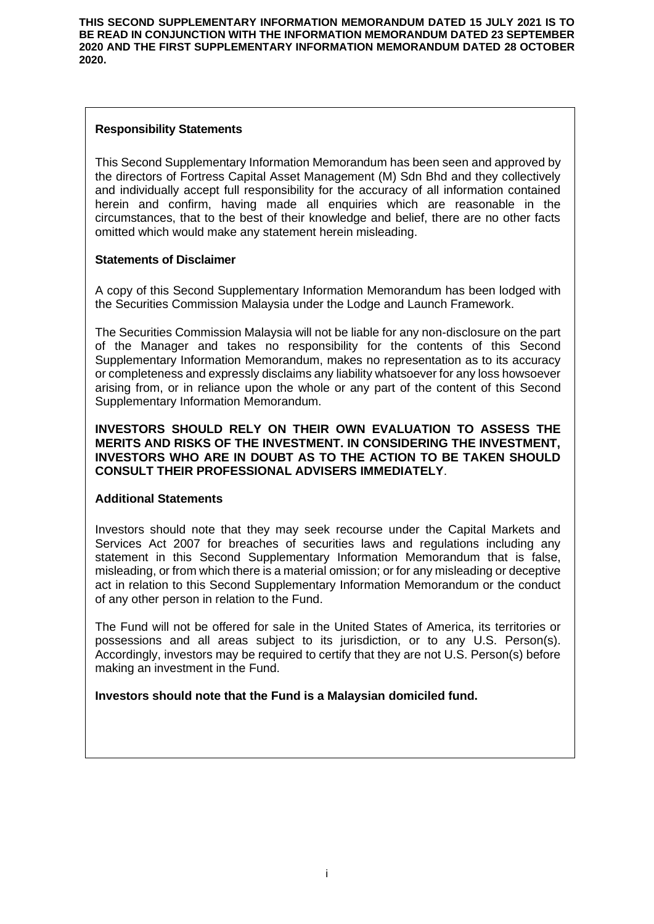**THIS SECOND SUPPLEMENTARY INFORMATION MEMORANDUM DATED 15 JULY 2021 IS TO BE READ IN CONJUNCTION WITH THE INFORMATION MEMORANDUM DATED 23 SEPTEMBER 2020 AND THE FIRST SUPPLEMENTARY INFORMATION MEMORANDUM DATED 28 OCTOBER 2020.**

## **Responsibility Statements**

This Second Supplementary Information Memorandum has been seen and approved by the directors of Fortress Capital Asset Management (M) Sdn Bhd and they collectively and individually accept full responsibility for the accuracy of all information contained herein and confirm, having made all enquiries which are reasonable in the circumstances, that to the best of their knowledge and belief, there are no other facts omitted which would make any statement herein misleading.

### **Statements of Disclaimer**

A copy of this Second Supplementary Information Memorandum has been lodged with the Securities Commission Malaysia under the Lodge and Launch Framework.

The Securities Commission Malaysia will not be liable for any non-disclosure on the part of the Manager and takes no responsibility for the contents of this Second Supplementary Information Memorandum, makes no representation as to its accuracy or completeness and expressly disclaims any liability whatsoever for any loss howsoever arising from, or in reliance upon the whole or any part of the content of this Second Supplementary Information Memorandum.

**INVESTORS SHOULD RELY ON THEIR OWN EVALUATION TO ASSESS THE MERITS AND RISKS OF THE INVESTMENT. IN CONSIDERING THE INVESTMENT, INVESTORS WHO ARE IN DOUBT AS TO THE ACTION TO BE TAKEN SHOULD CONSULT THEIR PROFESSIONAL ADVISERS IMMEDIATELY**.

### **Additional Statements**

Investors should note that they may seek recourse under the Capital Markets and Services Act 2007 for breaches of securities laws and regulations including any statement in this Second Supplementary Information Memorandum that is false, misleading, or from which there is a material omission; or for any misleading or deceptive act in relation to this Second Supplementary Information Memorandum or the conduct of any other person in relation to the Fund.

The Fund will not be offered for sale in the United States of America, its territories or possessions and all areas subject to its jurisdiction, or to any U.S. Person(s). Accordingly, investors may be required to certify that they are not U.S. Person(s) before making an investment in the Fund.

**Investors should note that the Fund is a Malaysian domiciled fund.**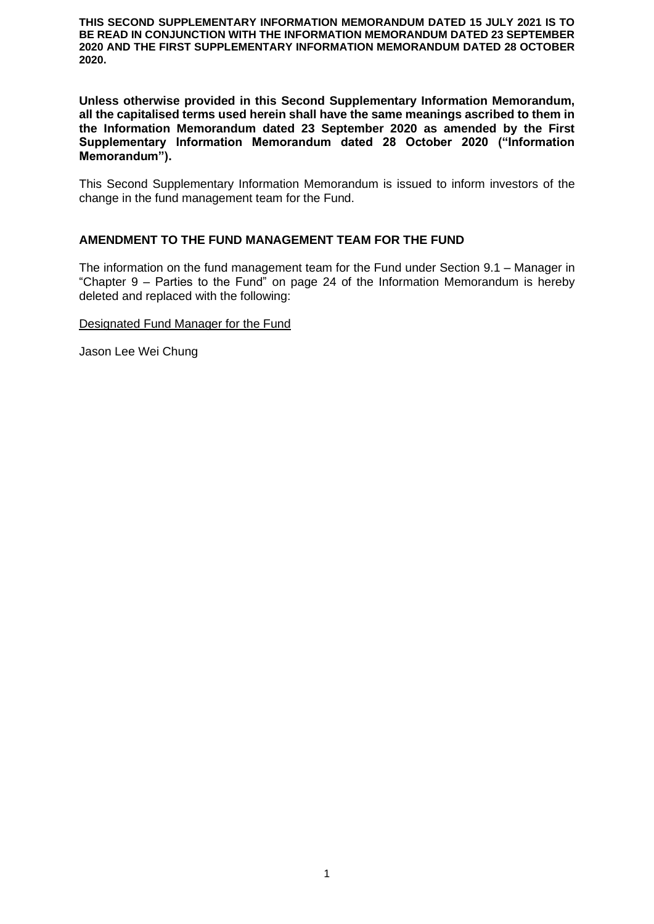**THIS SECOND SUPPLEMENTARY INFORMATION MEMORANDUM DATED 15 JULY 2021 IS TO BE READ IN CONJUNCTION WITH THE INFORMATION MEMORANDUM DATED 23 SEPTEMBER 2020 AND THE FIRST SUPPLEMENTARY INFORMATION MEMORANDUM DATED 28 OCTOBER 2020.**

**Unless otherwise provided in this Second Supplementary Information Memorandum, all the capitalised terms used herein shall have the same meanings ascribed to them in the Information Memorandum dated 23 September 2020 as amended by the First Supplementary Information Memorandum dated 28 October 2020 ("Information Memorandum").**

This Second Supplementary Information Memorandum is issued to inform investors of the change in the fund management team for the Fund.

### **AMENDMENT TO THE FUND MANAGEMENT TEAM FOR THE FUND**

The information on the fund management team for the Fund under Section 9.1 – Manager in "Chapter 9 – Parties to the Fund" on page 24 of the Information Memorandum is hereby deleted and replaced with the following:

Designated Fund Manager for the Fund

Jason Lee Wei Chung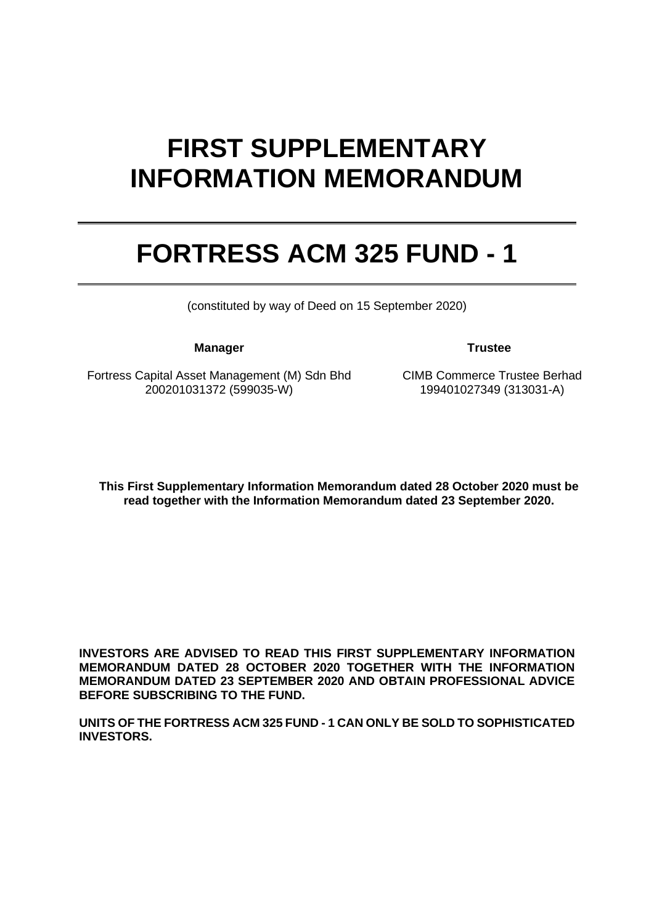# **FIRST SUPPLEMENTARY INFORMATION MEMORANDUM**

# **FORTRESS ACM 325 FUND - 1**

(constituted by way of Deed on 15 September 2020)

**Manager Trustee**

Fortress Capital Asset Management (M) Sdn Bhd 200201031372 (599035-W)

CIMB Commerce Trustee Berhad 199401027349 (313031-A)

**This First Supplementary Information Memorandum dated 28 October 2020 must be read together with the Information Memorandum dated 23 September 2020.**

**INVESTORS ARE ADVISED TO READ THIS FIRST SUPPLEMENTARY INFORMATION MEMORANDUM DATED 28 OCTOBER 2020 TOGETHER WITH THE INFORMATION MEMORANDUM DATED 23 SEPTEMBER 2020 AND OBTAIN PROFESSIONAL ADVICE BEFORE SUBSCRIBING TO THE FUND.** 

**UNITS OF THE FORTRESS ACM 325 FUND - 1 CAN ONLY BE SOLD TO SOPHISTICATED INVESTORS.**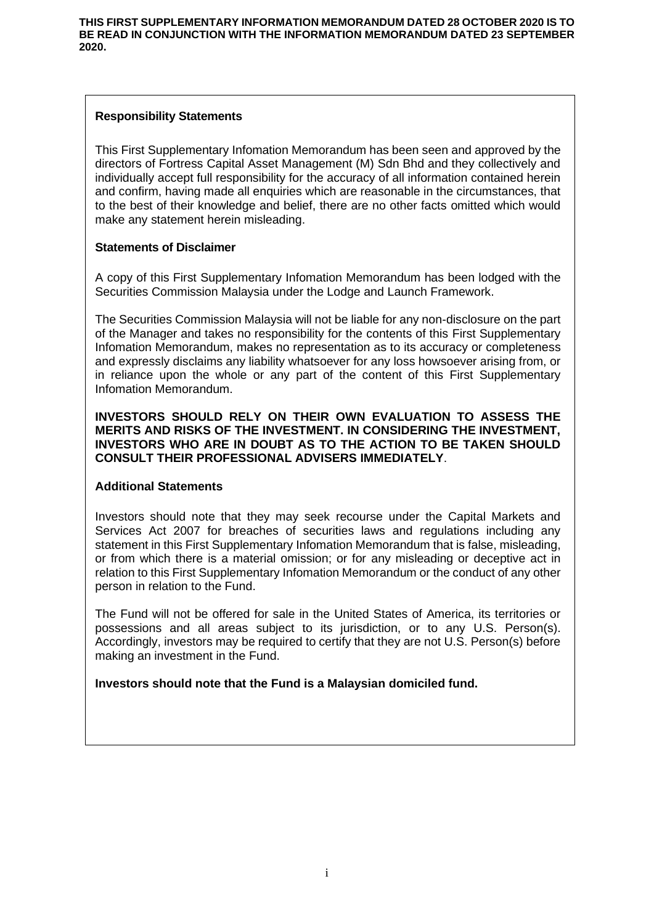## **Responsibility Statements**

This First Supplementary Infomation Memorandum has been seen and approved by the directors of Fortress Capital Asset Management (M) Sdn Bhd and they collectively and individually accept full responsibility for the accuracy of all information contained herein and confirm, having made all enquiries which are reasonable in the circumstances, that to the best of their knowledge and belief, there are no other facts omitted which would make any statement herein misleading.

## **Statements of Disclaimer**

A copy of this First Supplementary Infomation Memorandum has been lodged with the Securities Commission Malaysia under the Lodge and Launch Framework.

The Securities Commission Malaysia will not be liable for any non-disclosure on the part of the Manager and takes no responsibility for the contents of this First Supplementary Infomation Memorandum, makes no representation as to its accuracy or completeness and expressly disclaims any liability whatsoever for any loss howsoever arising from, or in reliance upon the whole or any part of the content of this First Supplementary Infomation Memorandum.

#### **INVESTORS SHOULD RELY ON THEIR OWN EVALUATION TO ASSESS THE MERITS AND RISKS OF THE INVESTMENT. IN CONSIDERING THE INVESTMENT, INVESTORS WHO ARE IN DOUBT AS TO THE ACTION TO BE TAKEN SHOULD CONSULT THEIR PROFESSIONAL ADVISERS IMMEDIATELY**.

## **Additional Statements**

Investors should note that they may seek recourse under the Capital Markets and Services Act 2007 for breaches of securities laws and regulations including any statement in this First Supplementary Infomation Memorandum that is false, misleading, or from which there is a material omission; or for any misleading or deceptive act in relation to this First Supplementary Infomation Memorandum or the conduct of any other person in relation to the Fund.

The Fund will not be offered for sale in the United States of America, its territories or possessions and all areas subject to its jurisdiction, or to any U.S. Person(s). Accordingly, investors may be required to certify that they are not U.S. Person(s) before making an investment in the Fund.

**Investors should note that the Fund is a Malaysian domiciled fund.**